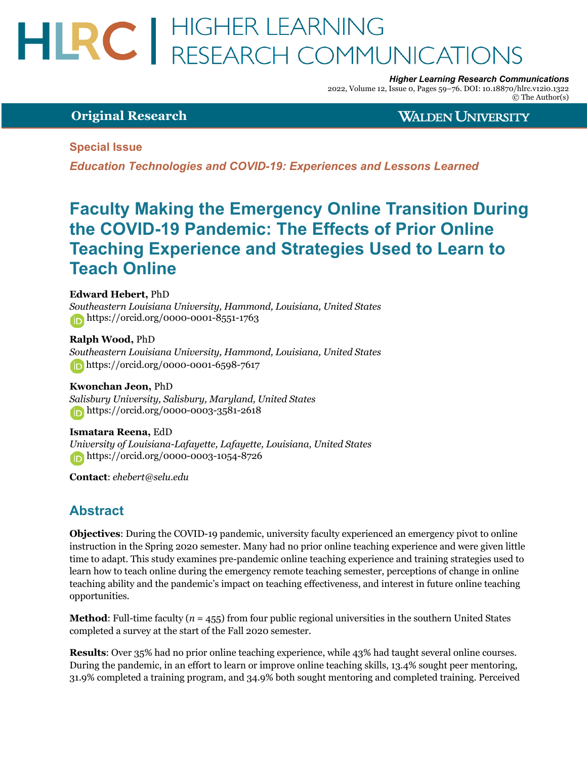# HLRC | HIGHER LEARNING<br>RESEARCH COMMUNICATIONS

*Higher Learning Research Communications*

2022, Volume 12, Issue 0, Pages 59–76. DOI: 10.18870/hlrc.v12i0.1322 © The Author(s)

### **Original Research**

**WALDEN UNIVERSITY** 

#### **Special Issue**

*Education Technologies and COVID-19: Experiences and Lessons Learned*

## **Faculty Making the Emergency Online Transition During the COVID-19 Pandemic: The Effects of Prior Online Teaching Experience and Strategies Used to Learn to Teach Online**

#### **Edward Hebert,** PhD

*Southeastern Louisiana University, Hammond, Louisiana, United States* https://orcid.org/0000-0001-8551-1763

**Ralph Wood,** PhD *Southeastern Louisiana University, Hammond, Louisiana, United States* https://orcid.org/0000-0001-6598-7617

#### **Kwonchan Jeon,** PhD

*Salisbury University, Salisbury, Maryland, United States* https://orcid.org/0000-0003-3581-2618

#### **Ismatara Reena,** EdD

*University of Louisiana-Lafayette, Lafayette, Louisiana, United States* https://orcid.org/0000-0003-1054-8726

**Contact**: *ehebert@selu.edu*

## **Abstract**

**Objectives**: During the COVID-19 pandemic, university faculty experienced an emergency pivot to online instruction in the Spring 2020 semester. Many had no prior online teaching experience and were given little time to adapt. This study examines pre-pandemic online teaching experience and training strategies used to learn how to teach online during the emergency remote teaching semester, perceptions of change in online teaching ability and the pandemic's impact on teaching effectiveness, and interest in future online teaching opportunities.

**Method**: Full-time faculty ( $n = 455$ ) from four public regional universities in the southern United States completed a survey at the start of the Fall 2020 semester.

**Results**: Over 35% had no prior online teaching experience, while 43% had taught several online courses. During the pandemic, in an effort to learn or improve online teaching skills, 13.4% sought peer mentoring, 31.9% completed a training program, and 34.9% both sought mentoring and completed training. Perceived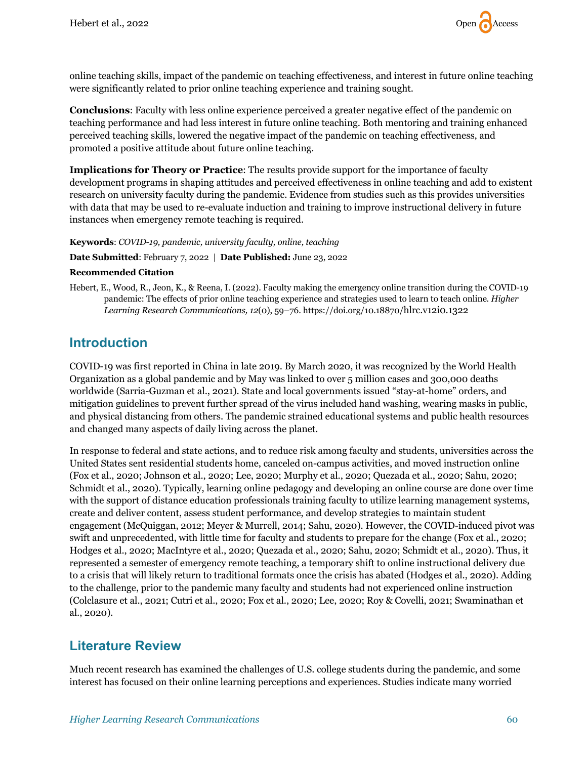

online teaching skills, impact of the pandemic on teaching effectiveness, and interest in future online teaching were significantly related to prior online teaching experience and training sought.

**Conclusions**: Faculty with less online experience perceived a greater negative effect of the pandemic on teaching performance and had less interest in future online teaching. Both mentoring and training enhanced perceived teaching skills, lowered the negative impact of the pandemic on teaching effectiveness, and promoted a positive attitude about future online teaching.

**Implications for Theory or Practice**: The results provide support for the importance of faculty development programs in shaping attitudes and perceived effectiveness in online teaching and add to existent research on university faculty during the pandemic. Evidence from studies such as this provides universities with data that may be used to re-evaluate induction and training to improve instructional delivery in future instances when emergency remote teaching is required.

#### **Keywords**: *COVID-19, pandemic, university faculty, online, teaching*

**Date Submitted**: February 7, 2022 | **Date Published:** June 23, 2022

#### **Recommended Citation**

Hebert, E., Wood, R., Jeon, K., & Reena, I. (2022). Faculty making the emergency online transition during the COVID-19 pandemic: The effects of prior online teaching experience and strategies used to learn to teach online. *Higher Learning Research Communications, 12*(0), 59–76. https://doi.org/10.18870/hlrc.v12i0.1322

## **Introduction**

COVID-19 was first reported in China in late 2019. By March 2020, it was recognized by the World Health Organization as a global pandemic and by May was linked to over 5 million cases and 300,000 deaths worldwide (Sarria-Guzman et al., 2021). State and local governments issued "stay-at-home" orders, and mitigation guidelines to prevent further spread of the virus included hand washing, wearing masks in public, and physical distancing from others. The pandemic strained educational systems and public health resources and changed many aspects of daily living across the planet.

In response to federal and state actions, and to reduce risk among faculty and students, universities across the United States sent residential students home, canceled on-campus activities, and moved instruction online (Fox et al., 2020; Johnson et al., 2020; Lee, 2020; Murphy et al., 2020; Quezada et al., 2020; Sahu, 2020; Schmidt et al., 2020). Typically, learning online pedagogy and developing an online course are done over time with the support of distance education professionals training faculty to utilize learning management systems, create and deliver content, assess student performance, and develop strategies to maintain student engagement (McQuiggan, 2012; Meyer & Murrell, 2014; Sahu, 2020). However, the COVID-induced pivot was swift and unprecedented, with little time for faculty and students to prepare for the change (Fox et al., 2020; Hodges et al., 2020; MacIntyre et al., 2020; Quezada et al., 2020; Sahu, 2020; Schmidt et al., 2020). Thus, it represented a semester of emergency remote teaching, a temporary shift to online instructional delivery due to a crisis that will likely return to traditional formats once the crisis has abated (Hodges et al., 2020). Adding to the challenge, prior to the pandemic many faculty and students had not experienced online instruction (Colclasure et al., 2021; Cutri et al., 2020; Fox et al., 2020; Lee, 2020; Roy & Covelli, 2021; Swaminathan et al., 2020).

## **Literature Review**

Much recent research has examined the challenges of U.S. college students during the pandemic, and some interest has focused on their online learning perceptions and experiences. Studies indicate many worried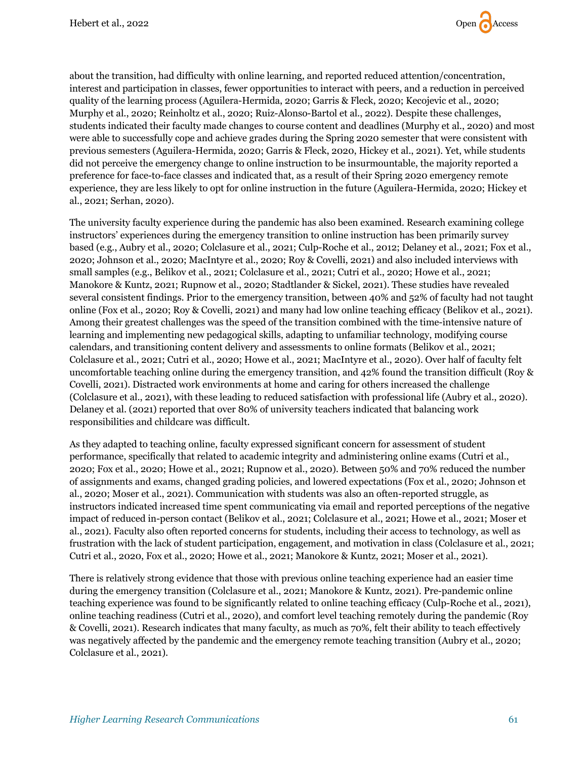

about the transition, had difficulty with online learning, and reported reduced attention/concentration, interest and participation in classes, fewer opportunities to interact with peers, and a reduction in perceived quality of the learning process (Aguilera-Hermida, 2020; Garris & Fleck, 2020; Kecojevic et al., 2020; Murphy et al., 2020; Reinholtz et al., 2020; Ruiz-Alonso-Bartol et al., 2022). Despite these challenges, students indicated their faculty made changes to course content and deadlines (Murphy et al., 2020) and most were able to successfully cope and achieve grades during the Spring 2020 semester that were consistent with previous semesters (Aguilera-Hermida, 2020; Garris & Fleck, 2020, Hickey et al., 2021). Yet, while students did not perceive the emergency change to online instruction to be insurmountable, the majority reported a preference for face-to-face classes and indicated that, as a result of their Spring 2020 emergency remote experience, they are less likely to opt for online instruction in the future (Aguilera-Hermida, 2020; Hickey et al., 2021; Serhan, 2020).

The university faculty experience during the pandemic has also been examined. Research examining college instructors' experiences during the emergency transition to online instruction has been primarily survey based (e.g., Aubry et al., 2020; Colclasure et al., 2021; Culp-Roche et al., 2012; Delaney et al., 2021; Fox et al., 2020; Johnson et al., 2020; MacIntyre et al., 2020; Roy & Covelli, 2021) and also included interviews with small samples (e.g., Belikov et al., 2021; Colclasure et al., 2021; Cutri et al., 2020; Howe et al., 2021; Manokore & Kuntz, 2021; Rupnow et al., 2020; Stadtlander & Sickel, 2021). These studies have revealed several consistent findings. Prior to the emergency transition, between 40% and 52% of faculty had not taught online (Fox et al., 2020; Roy & Covelli, 2021) and many had low online teaching efficacy (Belikov et al., 2021). Among their greatest challenges was the speed of the transition combined with the time-intensive nature of learning and implementing new pedagogical skills, adapting to unfamiliar technology, modifying course calendars, and transitioning content delivery and assessments to online formats (Belikov et al., 2021; Colclasure et al., 2021; Cutri et al., 2020; Howe et al., 2021; MacIntyre et al., 2020). Over half of faculty felt uncomfortable teaching online during the emergency transition, and 42% found the transition difficult (Roy & Covelli, 2021). Distracted work environments at home and caring for others increased the challenge (Colclasure et al., 2021), with these leading to reduced satisfaction with professional life (Aubry et al., 2020). Delaney et al. (2021) reported that over 80% of university teachers indicated that balancing work responsibilities and childcare was difficult.

As they adapted to teaching online, faculty expressed significant concern for assessment of student performance, specifically that related to academic integrity and administering online exams (Cutri et al., 2020; Fox et al., 2020; Howe et al., 2021; Rupnow et al., 2020). Between 50% and 70% reduced the number of assignments and exams, changed grading policies, and lowered expectations (Fox et al., 2020; Johnson et al., 2020; Moser et al., 2021). Communication with students was also an often-reported struggle, as instructors indicated increased time spent communicating via email and reported perceptions of the negative impact of reduced in-person contact (Belikov et al., 2021; Colclasure et al., 2021; Howe et al., 2021; Moser et al., 2021). Faculty also often reported concerns for students, including their access to technology, as well as frustration with the lack of student participation, engagement, and motivation in class (Colclasure et al., 2021; Cutri et al., 2020, Fox et al., 2020; Howe et al., 2021; Manokore & Kuntz, 2021; Moser et al., 2021).

There is relatively strong evidence that those with previous online teaching experience had an easier time during the emergency transition (Colclasure et al., 2021; Manokore & Kuntz, 2021). Pre-pandemic online teaching experience was found to be significantly related to online teaching efficacy (Culp-Roche et al., 2021), online teaching readiness (Cutri et al., 2020), and comfort level teaching remotely during the pandemic (Roy & Covelli, 2021). Research indicates that many faculty, as much as 70%, felt their ability to teach effectively was negatively affected by the pandemic and the emergency remote teaching transition (Aubry et al., 2020; Colclasure et al., 2021).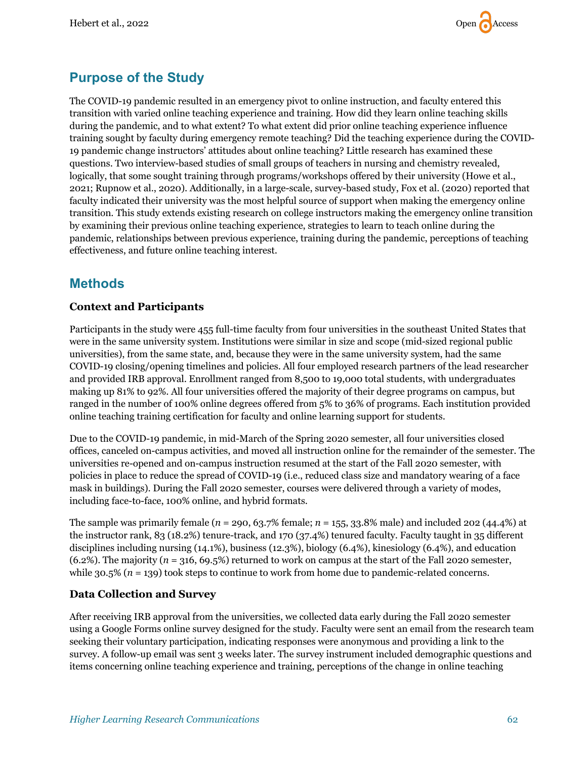

## **Purpose of the Study**

The COVID-19 pandemic resulted in an emergency pivot to online instruction, and faculty entered this transition with varied online teaching experience and training. How did they learn online teaching skills during the pandemic, and to what extent? To what extent did prior online teaching experience influence training sought by faculty during emergency remote teaching? Did the teaching experience during the COVID-19 pandemic change instructors' attitudes about online teaching? Little research has examined these questions. Two interview-based studies of small groups of teachers in nursing and chemistry revealed, logically, that some sought training through programs/workshops offered by their university (Howe et al., 2021; Rupnow et al., 2020). Additionally, in a large-scale, survey-based study, Fox et al. (2020) reported that faculty indicated their university was the most helpful source of support when making the emergency online transition. This study extends existing research on college instructors making the emergency online transition by examining their previous online teaching experience, strategies to learn to teach online during the pandemic, relationships between previous experience, training during the pandemic, perceptions of teaching effectiveness, and future online teaching interest.

## **Methods**

#### **Context and Participants**

Participants in the study were 455 full-time faculty from four universities in the southeast United States that were in the same university system. Institutions were similar in size and scope (mid-sized regional public universities), from the same state, and, because they were in the same university system, had the same COVID-19 closing/opening timelines and policies. All four employed research partners of the lead researcher and provided IRB approval. Enrollment ranged from 8,500 to 19,000 total students, with undergraduates making up 81% to 92%. All four universities offered the majority of their degree programs on campus, but ranged in the number of 100% online degrees offered from 5% to 36% of programs. Each institution provided online teaching training certification for faculty and online learning support for students.

Due to the COVID-19 pandemic, in mid-March of the Spring 2020 semester, all four universities closed offices, canceled on-campus activities, and moved all instruction online for the remainder of the semester. The universities re-opened and on-campus instruction resumed at the start of the Fall 2020 semester, with policies in place to reduce the spread of COVID-19 (i.e., reduced class size and mandatory wearing of a face mask in buildings). During the Fall 2020 semester, courses were delivered through a variety of modes, including face-to-face, 100% online, and hybrid formats.

The sample was primarily female (*n* = 290, 63.7% female; *n* = 155, 33.8% male) and included 202 (44.4%) at the instructor rank, 83 (18.2%) tenure-track, and 170 (37.4%) tenured faculty. Faculty taught in 35 different disciplines including nursing (14.1%), business (12.3%), biology (6.4%), kinesiology (6.4%), and education (6.2%). The majority (*n* = 316, 69.5%) returned to work on campus at the start of the Fall 2020 semester, while  $30.5\%$  ( $n = 139$ ) took steps to continue to work from home due to pandemic-related concerns.

#### **Data Collection and Survey**

After receiving IRB approval from the universities, we collected data early during the Fall 2020 semester using a Google Forms online survey designed for the study. Faculty were sent an email from the research team seeking their voluntary participation, indicating responses were anonymous and providing a link to the survey. A follow-up email was sent 3 weeks later. The survey instrument included demographic questions and items concerning online teaching experience and training, perceptions of the change in online teaching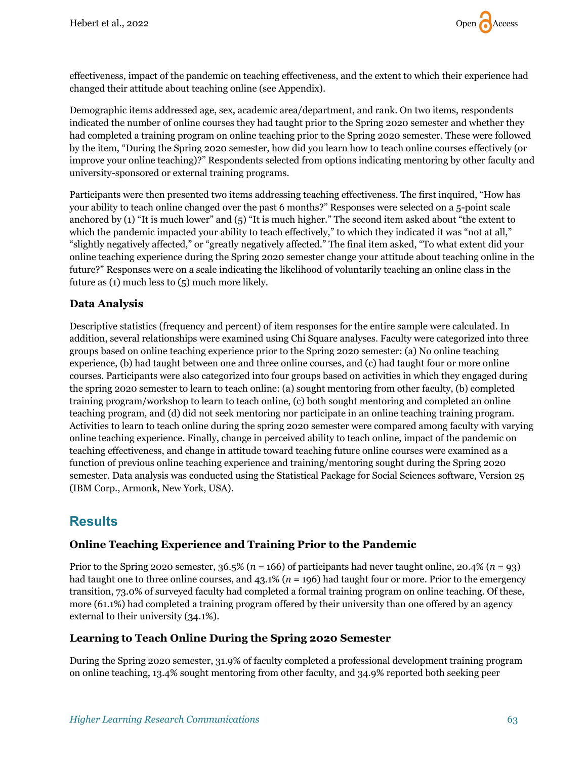

effectiveness, impact of the pandemic on teaching effectiveness, and the extent to which their experience had changed their attitude about teaching online (see Appendix).

Demographic items addressed age, sex, academic area/department, and rank. On two items, respondents indicated the number of online courses they had taught prior to the Spring 2020 semester and whether they had completed a training program on online teaching prior to the Spring 2020 semester. These were followed by the item, "During the Spring 2020 semester, how did you learn how to teach online courses effectively (or improve your online teaching)?" Respondents selected from options indicating mentoring by other faculty and university-sponsored or external training programs.

Participants were then presented two items addressing teaching effectiveness. The first inquired, "How has your ability to teach online changed over the past 6 months?" Responses were selected on a 5-point scale anchored by (1) "It is much lower" and (5) "It is much higher." The second item asked about "the extent to which the pandemic impacted your ability to teach effectively," to which they indicated it was "not at all," "slightly negatively affected," or "greatly negatively affected." The final item asked, "To what extent did your online teaching experience during the Spring 2020 semester change your attitude about teaching online in the future?" Responses were on a scale indicating the likelihood of voluntarily teaching an online class in the future as (1) much less to (5) much more likely.

#### **Data Analysis**

Descriptive statistics (frequency and percent) of item responses for the entire sample were calculated. In addition, several relationships were examined using Chi Square analyses. Faculty were categorized into three groups based on online teaching experience prior to the Spring 2020 semester: (a) No online teaching experience, (b) had taught between one and three online courses, and (c) had taught four or more online courses. Participants were also categorized into four groups based on activities in which they engaged during the spring 2020 semester to learn to teach online: (a) sought mentoring from other faculty, (b) completed training program/workshop to learn to teach online, (c) both sought mentoring and completed an online teaching program, and (d) did not seek mentoring nor participate in an online teaching training program. Activities to learn to teach online during the spring 2020 semester were compared among faculty with varying online teaching experience. Finally, change in perceived ability to teach online, impact of the pandemic on teaching effectiveness, and change in attitude toward teaching future online courses were examined as a function of previous online teaching experience and training/mentoring sought during the Spring 2020 semester. Data analysis was conducted using the Statistical Package for Social Sciences software, Version 25 (IBM Corp., Armonk, New York, USA).

## **Results**

#### **Online Teaching Experience and Training Prior to the Pandemic**

Prior to the Spring 2020 semester, 36.5% (*n* = 166) of participants had never taught online, 20.4% (*n* = 93) had taught one to three online courses, and 43.1% (*n* = 196) had taught four or more. Prior to the emergency transition, 73.0% of surveyed faculty had completed a formal training program on online teaching. Of these, more (61.1%) had completed a training program offered by their university than one offered by an agency external to their university (34.1%).

#### **Learning to Teach Online During the Spring 2020 Semester**

During the Spring 2020 semester, 31.9% of faculty completed a professional development training program on online teaching, 13.4% sought mentoring from other faculty, and 34.9% reported both seeking peer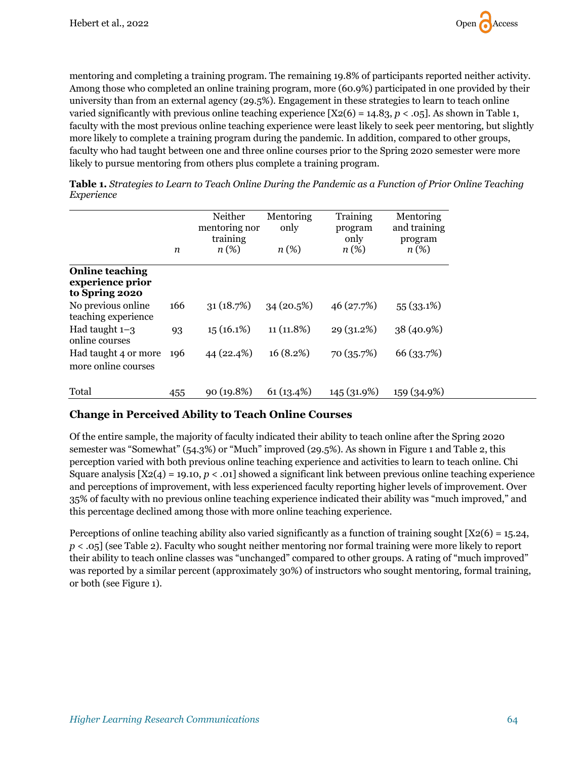

mentoring and completing a training program. The remaining 19.8% of participants reported neither activity. Among those who completed an online training program, more (60.9%) participated in one provided by their university than from an external agency (29.5%). Engagement in these strategies to learn to teach online varied significantly with previous online teaching experience  $[X2(6) = 14.83, p < .05]$ . As shown in Table 1, faculty with the most previous online teaching experience were least likely to seek peer mentoring, but slightly more likely to complete a training program during the pandemic. In addition, compared to other groups, faculty who had taught between one and three online courses prior to the Spring 2020 semester were more likely to pursue mentoring from others plus complete a training program.

| <b>Table 1.</b> Strategies to Learn to Teach Online During the Pandemic as a Function of Prior Online Teaching |
|----------------------------------------------------------------------------------------------------------------|
| Experience                                                                                                     |
|                                                                                                                |

|                                                              | n   | Neither<br>mentoring nor<br>training<br>$n(\%)$ | Mentoring<br>only<br>$n(\%)$ | Training<br>program<br>only<br>$n(\%)$ | Mentoring<br>and training<br>program<br>$n(\%)$ |
|--------------------------------------------------------------|-----|-------------------------------------------------|------------------------------|----------------------------------------|-------------------------------------------------|
| <b>Online teaching</b><br>experience prior<br>to Spring 2020 |     |                                                 |                              |                                        |                                                 |
| No previous online.<br>teaching experience                   | 166 | 31(18.7%)                                       | 34(20.5%)                    | 46 (27.7%)                             | 55(33.1%)                                       |
| Had taught $1-3$<br>online courses                           | 93  | 15(16.1%)                                       | $11(11.8\%)$                 | 29 (31.2%)                             | 38 (40.9%)                                      |
| Had taught 4 or more<br>more online courses                  | 196 | 44 (22.4%)                                      | 16(8.2%)                     | 70 (35.7%)                             | 66 (33.7%)                                      |
| Total                                                        | 455 | 90(19.8%)                                       | 61(13.4%)                    | 145 (31.9%)                            | 159 (34.9%)                                     |

#### **Change in Perceived Ability to Teach Online Courses**

Of the entire sample, the majority of faculty indicated their ability to teach online after the Spring 2020 semester was "Somewhat" (54.3%) or "Much" improved (29.5%). As shown in Figure 1 and Table 2, this perception varied with both previous online teaching experience and activities to learn to teach online. Chi Square analysis  $[X2(4) = 19.10, p < .01]$  showed a significant link between previous online teaching experience and perceptions of improvement, with less experienced faculty reporting higher levels of improvement. Over 35% of faculty with no previous online teaching experience indicated their ability was "much improved," and this percentage declined among those with more online teaching experience.

Perceptions of online teaching ability also varied significantly as a function of training sought  $[X2(6) = 15.24,$ *p* < .05] (see Table 2). Faculty who sought neither mentoring nor formal training were more likely to report their ability to teach online classes was "unchanged" compared to other groups. A rating of "much improved" was reported by a similar percent (approximately 30%) of instructors who sought mentoring, formal training, or both (see Figure 1).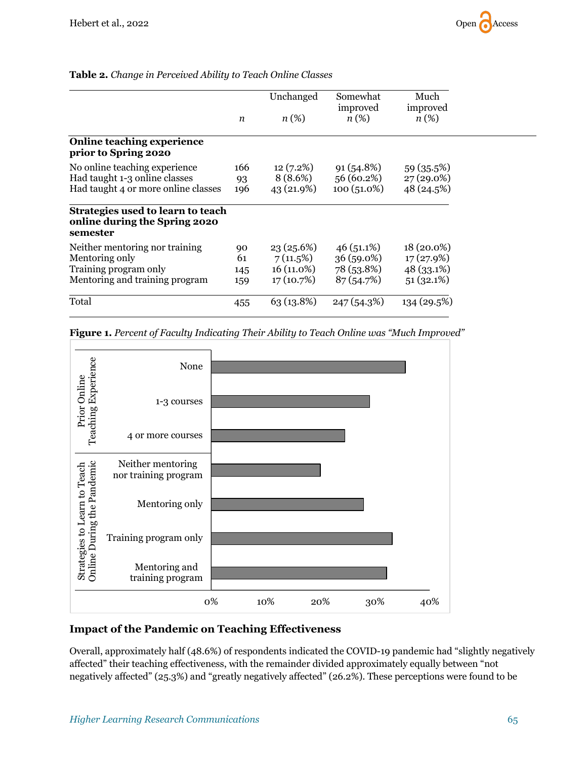|                                                                                                             | $\boldsymbol{n}$       | Unchanged<br>$n(\%)$                                 | Somewhat<br>improved<br>$n(\%)$                         | Much<br>improved<br>$n(\%)$                            |
|-------------------------------------------------------------------------------------------------------------|------------------------|------------------------------------------------------|---------------------------------------------------------|--------------------------------------------------------|
| <b>Online teaching experience</b><br>prior to Spring 2020                                                   |                        |                                                      |                                                         |                                                        |
| No online teaching experience<br>Had taught 1-3 online classes<br>Had taught 4 or more online classes       | 166<br>93<br>196       | 12 (7.2%)<br>8 (8.6%)<br>43 (21.9%)                  | 91 (54.8%)<br>56 (60.2%)<br>$100(51.0\%)$               | 59 (35.5%)<br>27 (29.0%)<br>48 (24.5%)                 |
| Strategies used to learn to teach<br>online during the Spring 2020<br>semester                              |                        |                                                      |                                                         |                                                        |
| Neither mentoring nor training<br>Mentoring only<br>Training program only<br>Mentoring and training program | 90<br>61<br>145<br>159 | 23(25.6%)<br>$7(11.5\%)$<br>16 (11.0%)<br>17 (10.7%) | $46(51.1\%)$<br>$36(59.0\%)$<br>78 (53.8%)<br>87(54.7%) | $18(20.0\%)$<br>17(27.9%)<br>$48(33.1\%)$<br>51(32.1%) |
| Total                                                                                                       | 455                    | 63 (13.8%)                                           | 247(54.3%)                                              | 134 (29.5%)                                            |

#### **Table 2.** *Change in Perceived Ability to Teach Online Classes*





#### **Impact of the Pandemic on Teaching Effectiveness**

Overall, approximately half (48.6%) of respondents indicated the COVID-19 pandemic had "slightly negatively affected" their teaching effectiveness, with the remainder divided approximately equally between "not negatively affected" (25.3%) and "greatly negatively affected" (26.2%). These perceptions were found to be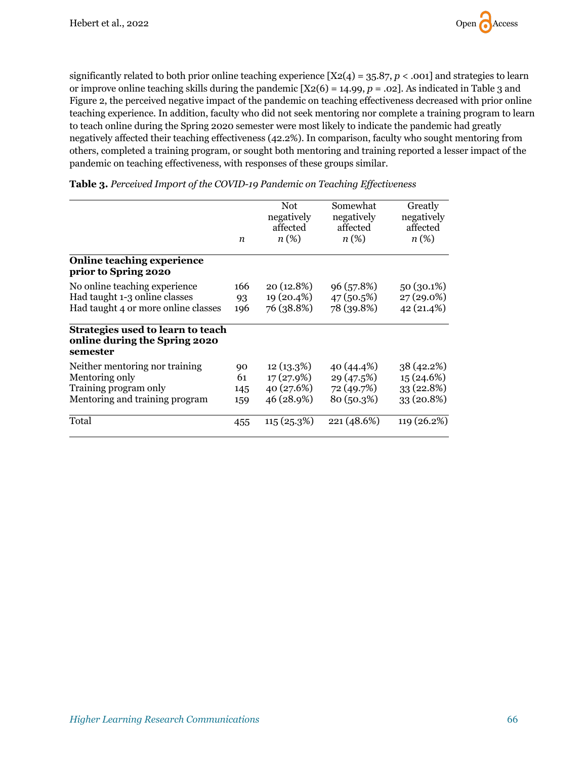

significantly related to both prior online teaching experience  $[X2(4) = 35.87, p < .001]$  and strategies to learn or improve online teaching skills during the pandemic [X2(6) = 14.99, *p* = .02]. As indicated in Table 3 and Figure 2, the perceived negative impact of the pandemic on teaching effectiveness decreased with prior online teaching experience. In addition, faculty who did not seek mentoring nor complete a training program to learn to teach online during the Spring 2020 semester were most likely to indicate the pandemic had greatly negatively affected their teaching effectiveness (42.2%). In comparison, faculty who sought mentoring from others, completed a training program, or sought both mentoring and training reported a lesser impact of the pandemic on teaching effectiveness, with responses of these groups similar.

|                                                                                | n   | Not<br>negatively<br>affected<br>$n(\%)$ | Somewhat<br>negatively<br>affected<br>$n(\%)$ | Greatly<br>negatively<br>affected<br>$n(\%)$ |
|--------------------------------------------------------------------------------|-----|------------------------------------------|-----------------------------------------------|----------------------------------------------|
| <b>Online teaching experience</b><br>prior to Spring 2020                      |     |                                          |                                               |                                              |
| No online teaching experience                                                  | 166 | 20 (12.8%)                               | 96 (57.8%)                                    | 50 (30.1%)                                   |
| Had taught 1-3 online classes                                                  | 93  | 19 (20.4%)                               | 47 (50.5%)                                    | 27 (29.0%)                                   |
| Had taught 4 or more online classes                                            | 196 | 76 (38.8%)                               | 78 (39.8%)                                    | 42 (21.4%)                                   |
| Strategies used to learn to teach<br>online during the Spring 2020<br>semester |     |                                          |                                               |                                              |
| Neither mentoring nor training                                                 | 90  | 12(13.3%)                                | 40 (44.4%)                                    | 38 (42.2%)                                   |
| Mentoring only                                                                 | 61  | 17(27.9%)                                | 29 (47.5%)                                    | 15(24.6%)                                    |
| Training program only                                                          | 145 | 40 (27.6%)                               | 72 (49.7%)                                    | 33 (22.8%)                                   |
| Mentoring and training program                                                 | 159 | 46 (28.9%)                               | 80 (50.3%)                                    | $33(20.8\%)$                                 |
| Total                                                                          | 455 | 115(25.3%)                               | 221 (48.6%)                                   | 119 (26.2%)                                  |

**Table 3.** *Perceived Imp0rt of the COVID-19 Pandemic on Teaching Effectiveness*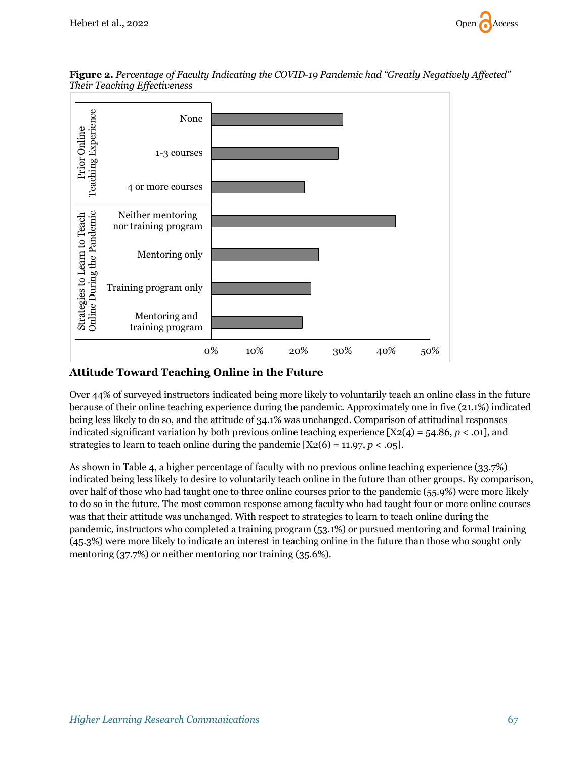

**Figure 2.** *Percentage of Faculty Indicating the COVID-19 Pandemic had "Greatly Negatively Affected" Their Teaching Effectiveness*

#### **Attitude Toward Teaching Online in the Future**

Over 44% of surveyed instructors indicated being more likely to voluntarily teach an online class in the future because of their online teaching experience during the pandemic. Approximately one in five (21.1%) indicated being less likely to do so, and the attitude of 34.1% was unchanged. Comparison of attitudinal responses indicated significant variation by both previous online teaching experience  $[X2(4) = 54.86, p < .01]$ , and strategies to learn to teach online during the pandemic  $[X2(6) = 11.97, p < .05]$ .

As shown in Table 4, a higher percentage of faculty with no previous online teaching experience (33.7%) indicated being less likely to desire to voluntarily teach online in the future than other groups. By comparison, over half of those who had taught one to three online courses prior to the pandemic (55.9%) were more likely to do so in the future. The most common response among faculty who had taught four or more online courses was that their attitude was unchanged. With respect to strategies to learn to teach online during the pandemic, instructors who completed a training program (53.1%) or pursued mentoring and formal training (45.3%) were more likely to indicate an interest in teaching online in the future than those who sought only mentoring (37.7%) or neither mentoring nor training (35.6%).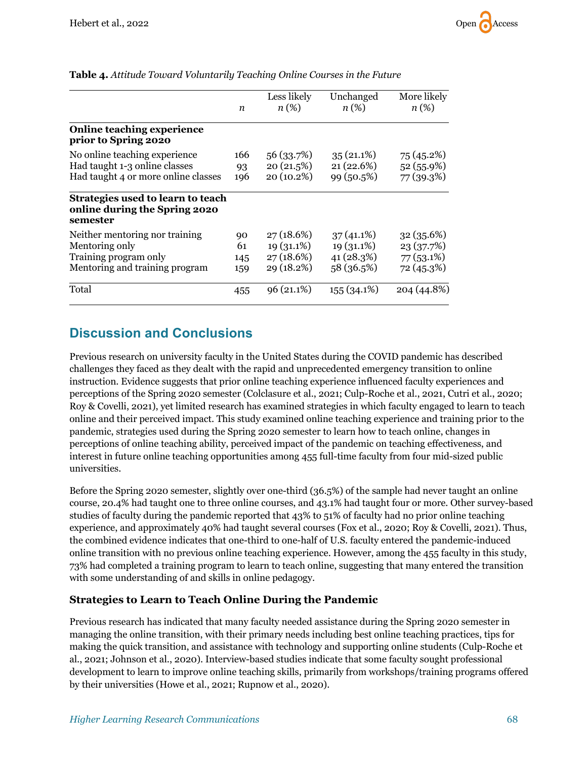|                                                                                                             | n                      | Less likely<br>$n(\%)$                                | Unchanged<br>$n(\%)$                                     | More likely<br>$n(\%)$                                |
|-------------------------------------------------------------------------------------------------------------|------------------------|-------------------------------------------------------|----------------------------------------------------------|-------------------------------------------------------|
| <b>Online teaching experience</b><br>prior to Spring 2020                                                   |                        |                                                       |                                                          |                                                       |
| No online teaching experience<br>Had taught 1-3 online classes<br>Had taught 4 or more online classes       | 166<br>93<br>196       | 56 (33.7%)<br>20(21.5%)<br>20 (10.2%)                 | $35(21.1\%)$<br>21(22.6%)<br>99 (50.5%)                  | 75 (45.2%)<br>52 (55.9%)<br>77 (39.3%)                |
| Strategies used to learn to teach<br>online during the Spring 2020<br>semester                              |                        |                                                       |                                                          |                                                       |
| Neither mentoring nor training<br>Mentoring only<br>Training program only<br>Mentoring and training program | 90<br>61<br>145<br>159 | 27(18.6%)<br>$19(31.1\%)$<br>27 (18.6%)<br>29 (18.2%) | $37(41.1\%)$<br>$19(31.1\%)$<br>41 (28.3%)<br>58 (36.5%) | 32(35.6%)<br>23 (37.7%)<br>$77(53.1\%)$<br>72 (45.3%) |
| Total                                                                                                       | 455                    | $96(21.1\%)$                                          | $155(34.1\%)$                                            | 204 (44.8%)                                           |

#### **Table 4.** *Attitude Toward Voluntarily Teaching Online Courses in the Future*

## **Discussion and Conclusions**

Previous research on university faculty in the United States during the COVID pandemic has described challenges they faced as they dealt with the rapid and unprecedented emergency transition to online instruction. Evidence suggests that prior online teaching experience influenced faculty experiences and perceptions of the Spring 2020 semester (Colclasure et al., 2021; Culp-Roche et al., 2021, Cutri et al., 2020; Roy & Covelli, 2021), yet limited research has examined strategies in which faculty engaged to learn to teach online and their perceived impact. This study examined online teaching experience and training prior to the pandemic, strategies used during the Spring 2020 semester to learn how to teach online, changes in perceptions of online teaching ability, perceived impact of the pandemic on teaching effectiveness, and interest in future online teaching opportunities among 455 full-time faculty from four mid-sized public universities.

Before the Spring 2020 semester, slightly over one-third (36.5%) of the sample had never taught an online course, 20.4% had taught one to three online courses, and 43.1% had taught four or more. Other survey-based studies of faculty during the pandemic reported that 43% to 51% of faculty had no prior online teaching experience, and approximately 40% had taught several courses (Fox et al., 2020; Roy & Covelli, 2021). Thus, the combined evidence indicates that one-third to one-half of U.S. faculty entered the pandemic-induced online transition with no previous online teaching experience. However, among the 455 faculty in this study, 73% had completed a training program to learn to teach online, suggesting that many entered the transition with some understanding of and skills in online pedagogy.

#### **Strategies to Learn to Teach Online During the Pandemic**

Previous research has indicated that many faculty needed assistance during the Spring 2020 semester in managing the online transition, with their primary needs including best online teaching practices, tips for making the quick transition, and assistance with technology and supporting online students (Culp-Roche et al., 2021; Johnson et al., 2020). Interview-based studies indicate that some faculty sought professional development to learn to improve online teaching skills, primarily from workshops/training programs offered by their universities (Howe et al., 2021; Rupnow et al., 2020).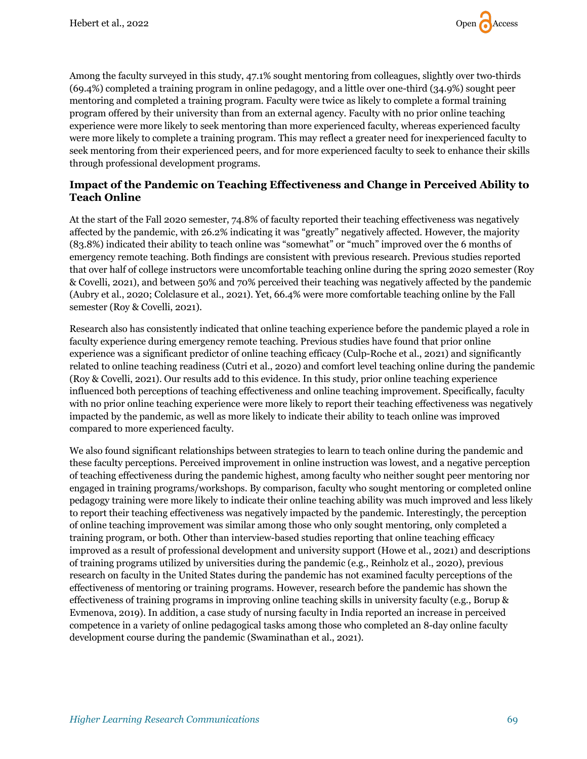

Among the faculty surveyed in this study, 47.1% sought mentoring from colleagues, slightly over two-thirds (69.4%) completed a training program in online pedagogy, and a little over one-third (34.9%) sought peer mentoring and completed a training program. Faculty were twice as likely to complete a formal training program offered by their university than from an external agency. Faculty with no prior online teaching experience were more likely to seek mentoring than more experienced faculty, whereas experienced faculty were more likely to complete a training program. This may reflect a greater need for inexperienced faculty to seek mentoring from their experienced peers, and for more experienced faculty to seek to enhance their skills through professional development programs.

#### **Impact of the Pandemic on Teaching Effectiveness and Change in Perceived Ability to Teach Online**

At the start of the Fall 2020 semester, 74.8% of faculty reported their teaching effectiveness was negatively affected by the pandemic, with 26.2% indicating it was "greatly" negatively affected. However, the majority (83.8%) indicated their ability to teach online was "somewhat" or "much" improved over the 6 months of emergency remote teaching. Both findings are consistent with previous research. Previous studies reported that over half of college instructors were uncomfortable teaching online during the spring 2020 semester (Roy & Covelli, 2021), and between 50% and 70% perceived their teaching was negatively affected by the pandemic (Aubry et al., 2020; Colclasure et al., 2021). Yet, 66.4% were more comfortable teaching online by the Fall semester (Roy & Covelli, 2021).

Research also has consistently indicated that online teaching experience before the pandemic played a role in faculty experience during emergency remote teaching. Previous studies have found that prior online experience was a significant predictor of online teaching efficacy (Culp-Roche et al., 2021) and significantly related to online teaching readiness (Cutri et al., 2020) and comfort level teaching online during the pandemic (Roy & Covelli, 2021). Our results add to this evidence. In this study, prior online teaching experience influenced both perceptions of teaching effectiveness and online teaching improvement. Specifically, faculty with no prior online teaching experience were more likely to report their teaching effectiveness was negatively impacted by the pandemic, as well as more likely to indicate their ability to teach online was improved compared to more experienced faculty.

We also found significant relationships between strategies to learn to teach online during the pandemic and these faculty perceptions. Perceived improvement in online instruction was lowest, and a negative perception of teaching effectiveness during the pandemic highest, among faculty who neither sought peer mentoring nor engaged in training programs/workshops. By comparison, faculty who sought mentoring or completed online pedagogy training were more likely to indicate their online teaching ability was much improved and less likely to report their teaching effectiveness was negatively impacted by the pandemic. Interestingly, the perception of online teaching improvement was similar among those who only sought mentoring, only completed a training program, or both. Other than interview-based studies reporting that online teaching efficacy improved as a result of professional development and university support (Howe et al., 2021) and descriptions of training programs utilized by universities during the pandemic (e.g., Reinholz et al., 2020), previous research on faculty in the United States during the pandemic has not examined faculty perceptions of the effectiveness of mentoring or training programs. However, research before the pandemic has shown the effectiveness of training programs in improving online teaching skills in university faculty (e.g., Borup & Evmenova, 2019). In addition, a case study of nursing faculty in India reported an increase in perceived competence in a variety of online pedagogical tasks among those who completed an 8-day online faculty development course during the pandemic (Swaminathan et al., 2021).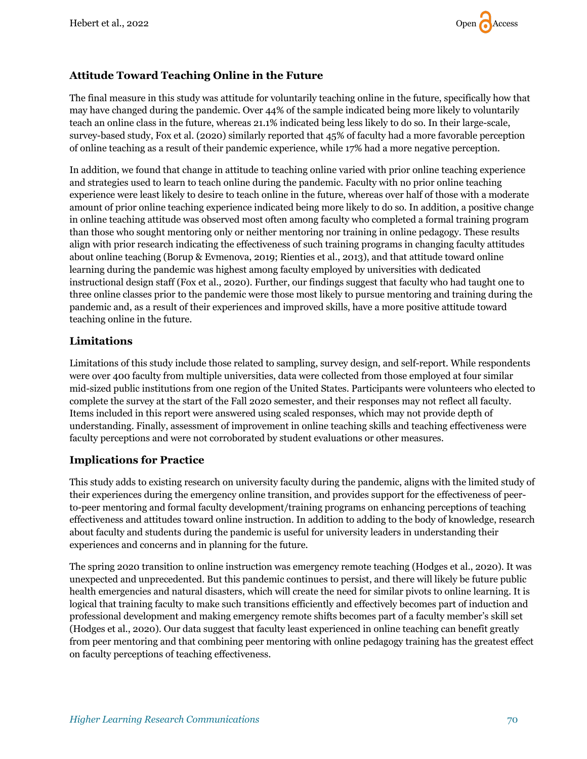#### **Attitude Toward Teaching Online in the Future**

The final measure in this study was attitude for voluntarily teaching online in the future, specifically how that may have changed during the pandemic. Over 44% of the sample indicated being more likely to voluntarily teach an online class in the future, whereas 21.1% indicated being less likely to do so. In their large-scale, survey-based study, Fox et al. (2020) similarly reported that 45% of faculty had a more favorable perception of online teaching as a result of their pandemic experience, while 17% had a more negative perception.

In addition, we found that change in attitude to teaching online varied with prior online teaching experience and strategies used to learn to teach online during the pandemic. Faculty with no prior online teaching experience were least likely to desire to teach online in the future, whereas over half of those with a moderate amount of prior online teaching experience indicated being more likely to do so. In addition, a positive change in online teaching attitude was observed most often among faculty who completed a formal training program than those who sought mentoring only or neither mentoring nor training in online pedagogy. These results align with prior research indicating the effectiveness of such training programs in changing faculty attitudes about online teaching (Borup & Evmenova, 2019; Rienties et al., 2013), and that attitude toward online learning during the pandemic was highest among faculty employed by universities with dedicated instructional design staff (Fox et al., 2020). Further, our findings suggest that faculty who had taught one to three online classes prior to the pandemic were those most likely to pursue mentoring and training during the pandemic and, as a result of their experiences and improved skills, have a more positive attitude toward teaching online in the future.

#### **Limitations**

Limitations of this study include those related to sampling, survey design, and self-report. While respondents were over 400 faculty from multiple universities, data were collected from those employed at four similar mid-sized public institutions from one region of the United States. Participants were volunteers who elected to complete the survey at the start of the Fall 2020 semester, and their responses may not reflect all faculty. Items included in this report were answered using scaled responses, which may not provide depth of understanding. Finally, assessment of improvement in online teaching skills and teaching effectiveness were faculty perceptions and were not corroborated by student evaluations or other measures.

#### **Implications for Practice**

This study adds to existing research on university faculty during the pandemic, aligns with the limited study of their experiences during the emergency online transition, and provides support for the effectiveness of peerto-peer mentoring and formal faculty development/training programs on enhancing perceptions of teaching effectiveness and attitudes toward online instruction. In addition to adding to the body of knowledge, research about faculty and students during the pandemic is useful for university leaders in understanding their experiences and concerns and in planning for the future.

The spring 2020 transition to online instruction was emergency remote teaching (Hodges et al., 2020). It was unexpected and unprecedented. But this pandemic continues to persist, and there will likely be future public health emergencies and natural disasters, which will create the need for similar pivots to online learning. It is logical that training faculty to make such transitions efficiently and effectively becomes part of induction and professional development and making emergency remote shifts becomes part of a faculty member's skill set (Hodges et al., 2020). Our data suggest that faculty least experienced in online teaching can benefit greatly from peer mentoring and that combining peer mentoring with online pedagogy training has the greatest effect on faculty perceptions of teaching effectiveness.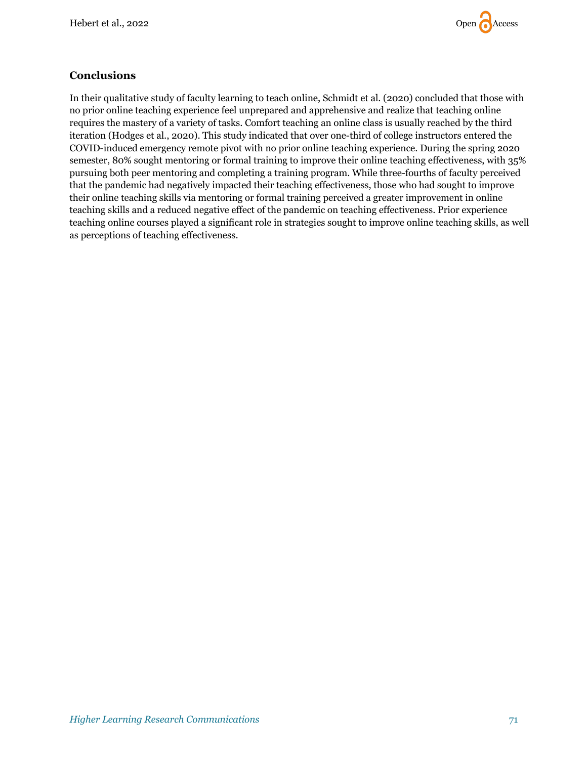

#### **Conclusions**

In their qualitative study of faculty learning to teach online, Schmidt et al. (2020) concluded that those with no prior online teaching experience feel unprepared and apprehensive and realize that teaching online requires the mastery of a variety of tasks. Comfort teaching an online class is usually reached by the third iteration (Hodges et al., 2020). This study indicated that over one-third of college instructors entered the COVID-induced emergency remote pivot with no prior online teaching experience. During the spring 2020 semester, 80% sought mentoring or formal training to improve their online teaching effectiveness, with 35% pursuing both peer mentoring and completing a training program. While three-fourths of faculty perceived that the pandemic had negatively impacted their teaching effectiveness, those who had sought to improve their online teaching skills via mentoring or formal training perceived a greater improvement in online teaching skills and a reduced negative effect of the pandemic on teaching effectiveness. Prior experience teaching online courses played a significant role in strategies sought to improve online teaching skills, as well as perceptions of teaching effectiveness.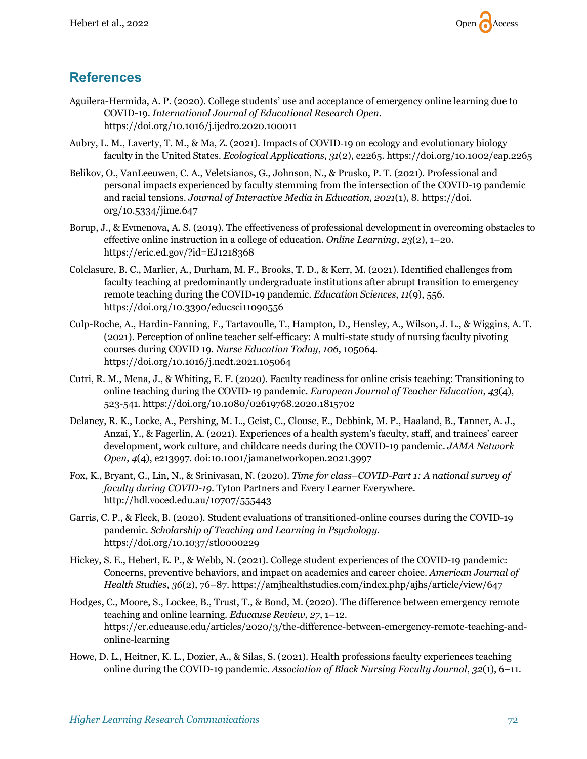

## **References**

- Aguilera-Hermida, A. P. (2020). College students' use and acceptance of emergency online learning due to COVID-19. *International Journal of Educational Research Open.*  https://doi.org/10.1016/j.ijedro.2020.100011
- Aubry, L. M., Laverty, T. M., & Ma, Z. (2021). Impacts of COVID‐19 on ecology and evolutionary biology faculty in the United States. *Ecological Applications*, *31*(2), e2265. https://doi.org/10.1002/eap.2265
- Belikov, O., VanLeeuwen, C. A., Veletsianos, G., Johnson, N., & Prusko, P. T. (2021). Professional and personal impacts experienced by faculty stemming from the intersection of the COVID-19 pandemic and racial tensions. *Journal of Interactive Media in Education*, *2021*(1), 8. https://doi. org/10.5334/jime.647
- Borup, J., & Evmenova, A. S. (2019). The effectiveness of professional development in overcoming obstacles to effective online instruction in a college of education. *Online Learning*, *23*(2), 1–20. https://eric.ed.gov/?id=EJ1218368
- Colclasure, B. C., Marlier, A., Durham, M. F., Brooks, T. D., & Kerr, M. (2021). Identified challenges from faculty teaching at predominantly undergraduate institutions after abrupt transition to emergency remote teaching during the COVID-19 pandemic. *Education Sciences*, *11*(9), 556. https://doi.org/10.3390/educsci11090556
- Culp-Roche, A., Hardin-Fanning, F., Tartavoulle, T., Hampton, D., Hensley, A., Wilson, J. L., & Wiggins, A. T. (2021). Perception of online teacher self-efficacy: A multi-state study of nursing faculty pivoting courses during COVID 19. *Nurse Education Today*, *106*, 105064. https://doi.org/10.1016/j.nedt.2021.105064
- Cutri, R. M., Mena, J., & Whiting, E. F. (2020). Faculty readiness for online crisis teaching: Transitioning to online teaching during the COVID-19 pandemic. *European Journal of Teacher Education*, *43*(4), 523-541. https://doi.org/10.1080/02619768.2020.1815702
- Delaney, R. K., Locke, A., Pershing, M. L., Geist, C., Clouse, E., Debbink, M. P., Haaland, B., Tanner, A. J., Anzai, Y., & Fagerlin, A. (2021). Experiences of a health system's faculty, staff, and trainees' career development, work culture, and childcare needs during the COVID-19 pandemic. *JAMA Network Open*, *4*(4), e213997. doi:10.1001/jamanetworkopen.2021.3997
- Fox, K., Bryant, G., Lin, N., & Srinivasan, N. (2020). *Time for class–COVID-Part 1: A national survey of faculty during COVID-19*. Tyton Partners and Every Learner Everywhere. http://hdl.voced.edu.au/10707/555443
- Garris, C. P., & Fleck, B. (2020). Student evaluations of transitioned-online courses during the COVID-19 pandemic. *Scholarship of Teaching and Learning in Psychology*. https://doi.org/10.1037/stl0000229
- Hickey, S. E., Hebert, E. P., & Webb, N. (2021). College student experiences of the COVID-19 pandemic: Concerns, preventive behaviors, and impact on academics and career choice. *American Journal of Health Studies*, *36*(2), 76–87. https://amjhealthstudies.com/index.php/ajhs/article/view/647
- Hodges, C., Moore, S., Lockee, B., Trust, T., & Bond, M. (2020). The difference between emergency remote teaching and online learning. *Educause Review, 27*, 1–12. https://er.educause.edu/articles/2020/3/the-difference-between-emergency-remote-teaching-andonline-learning
- Howe, D. L., Heitner, K. L., Dozier, A., & Silas, S. (2021). Health professions faculty experiences teaching online during the COVID-19 pandemic. *Association of Black Nursing Faculty Journal*, *32*(1), 6–11.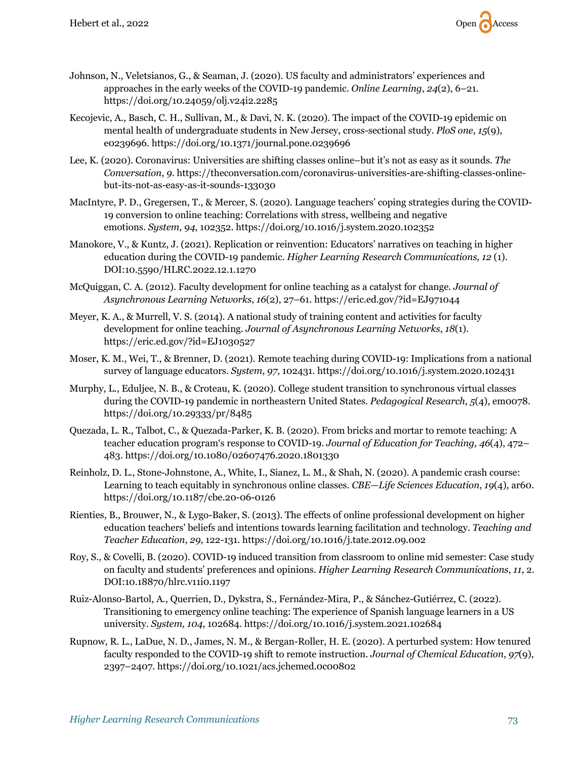

- Johnson, N., Veletsianos, G., & Seaman, J. (2020). US faculty and administrators' experiences and approaches in the early weeks of the COVID-19 pandemic. *Online Learning*, *24*(2), 6–21. https://doi.org/10.24059/olj.v24i2.2285
- Kecojevic, A., Basch, C. H., Sullivan, M., & Davi, N. K. (2020). The impact of the COVID-19 epidemic on mental health of undergraduate students in New Jersey, cross-sectional study. *PloS one*, *15*(9), e0239696. https://doi.org/10.1371/journal.pone.0239696
- Lee, K. (2020). Coronavirus: Universities are shifting classes online–but it's not as easy as it sounds. *The Conversation*, *9*. https://theconversation.com/coronavirus-universities-are-shifting-classes-onlinebut-its-not-as-easy-as-it-sounds-133030
- MacIntyre, P. D., Gregersen, T., & Mercer, S. (2020). Language teachers' coping strategies during the COVID-19 conversion to online teaching: Correlations with stress, wellbeing and negative emotions. *System*, *94*, 102352. https://doi.org/10.1016/j.system.2020.102352
- Manokore, V., & Kuntz, J. (2021). Replication or reinvention: Educators' narratives on teaching in higher education during the COVID-19 pandemic. *Higher Learning Research Communications, 12* (1). DOI:10.5590/HLRC.2022.12.1.1270
- McQuiggan, C. A. (2012). Faculty development for online teaching as a catalyst for change. *Journal of Asynchronous Learning Networks*, *16*(2), 27–61. https://eric.ed.gov/?id=EJ971044
- Meyer, K. A., & Murrell, V. S. (2014). A national study of training content and activities for faculty development for online teaching. *Journal of Asynchronous Learning Networks*, *18*(1). https://eric.ed.gov/?id=EJ1030527
- Moser, K. M., Wei, T., & Brenner, D. (2021). Remote teaching during COVID-19: Implications from a national survey of language educators. *System*, *97*, 102431. https://doi.org/10.1016/j.system.2020.102431
- Murphy, L., Eduljee, N. B., & Croteau, K. (2020). College student transition to synchronous virtual classes during the COVID-19 pandemic in northeastern United States. *Pedagogical Research*, *5*(4), em0078. https://doi.org/10.29333/pr/8485
- Quezada, L. R., Talbot, C., & Quezada-Parker, K. B. (2020). From bricks and mortar to remote teaching: A teacher education program's response to COVID-19. *Journal of Education for Teaching, 46*(4), 472– 483. https://doi.org/10.1080/02607476.2020.1801330
- Reinholz, D. L., Stone-Johnstone, A., White, I., Sianez, L. M., & Shah, N. (2020). A pandemic crash course: Learning to teach equitably in synchronous online classes. *CBE—Life Sciences Education*, *19*(4), ar60. https://doi.org/10.1187/cbe.20-06-0126
- Rienties, B., Brouwer, N., & Lygo-Baker, S. (2013). The effects of online professional development on higher education teachers' beliefs and intentions towards learning facilitation and technology. *Teaching and Teacher Education*, *29*, 122-131. https://doi.org/10.1016/j.tate.2012.09.002
- Roy, S., & Covelli, B. (2020). COVID-19 induced transition from classroom to online mid semester: Case study on faculty and students' preferences and opinions. *Higher Learning Research Communications*, *11*, 2. DOI:10.18870/hlrc.v11i0.1197
- Ruiz-Alonso-Bartol, A., Querrien, D., Dykstra, S., Fernández-Mira, P., & Sánchez-Gutiérrez, C. (2022). Transitioning to emergency online teaching: The experience of Spanish language learners in a US university. *System, 104*, 102684. https://doi.org/10.1016/j.system.2021.102684
- Rupnow, R. L., LaDue, N. D., James, N. M., & Bergan-Roller, H. E. (2020). A perturbed system: How tenured faculty responded to the COVID-19 shift to remote instruction. *Journal of Chemical Education*, *97*(9), 2397–2407. https://doi.org/10.1021/acs.jchemed.0c00802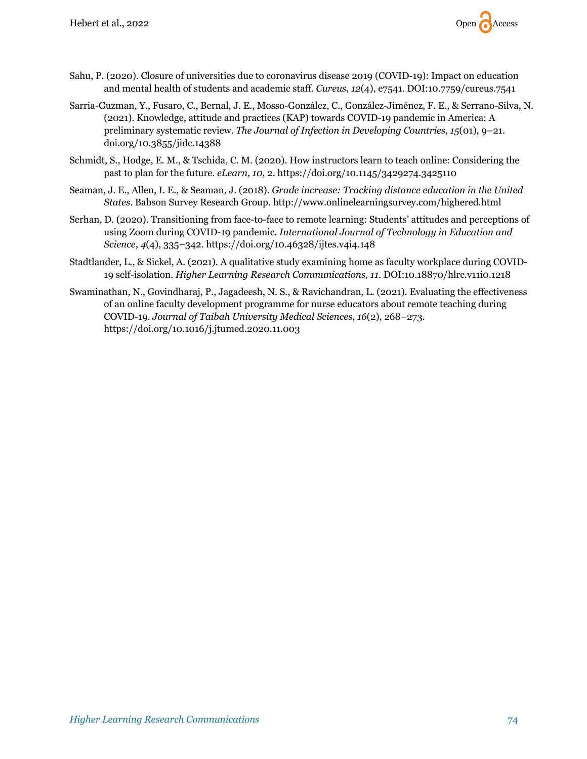

- Sahu, P. (2020). Closure of universities due to coronavirus disease 2019 (COVID-19): Impact on education and mental health of students and academic staff. *Cureus, 12*(4), e7541. DOI:10.7759/cureus.7541
- Sarria-Guzman, Y., Fusaro, C., Bernal, J. E., Mosso-González, C., González-Jiménez, F. E., & Serrano-Silva, N. (2021). Knowledge, attitude and practices (KAP) towards COVID-19 pandemic in America: A preliminary systematic review. *The Journal of Infection in Developing Countries*, *15*(01), 9–21. doi.org/10.3855/jidc.14388
- Schmidt, S., Hodge, E. M., & Tschida, C. M. (2020). How instructors learn to teach online: Considering the past to plan for the future. *eLearn, 10*, 2. https://doi.org/10.1145/3429274.3425110
- Seaman, J. E., Allen, I. E., & Seaman, J. (2018). *Grade increase: Tracking distance education in the United States*. Babson Survey Research Group. http://www.onlinelearningsurvey.com/highered.html
- Serhan, D. (2020). Transitioning from face-to-face to remote learning: Students' attitudes and perceptions of using Zoom during COVID-19 pandemic. *International Journal of Technology in Education and Science*, *4*(4), 335–342. https://doi.org/10.46328/ijtes.v4i4.148
- Stadtlander, L., & Sickel, A. (2021). A qualitative study examining home as faculty workplace during COVID-19 self-isolation. *Higher Learning Research Communications, 11*. DOI:10.18870/hlrc.v11i0.1218
- Swaminathan, N., Govindharaj, P., Jagadeesh, N. S., & Ravichandran, L. (2021). Evaluating the effectiveness of an online faculty development programme for nurse educators about remote teaching during COVID-19. *Journal of Taibah University Medical Sciences*, *16*(2), 268–273. https://doi.org/10.1016/j.jtumed.2020.11.003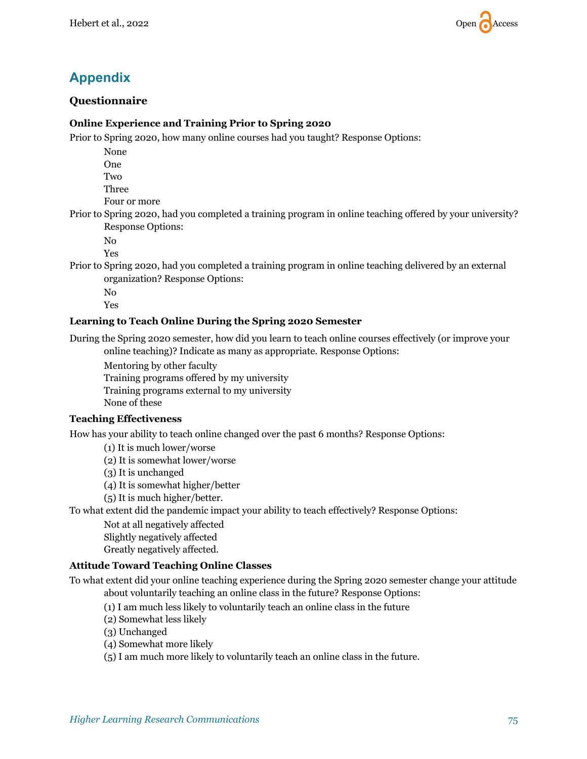

## **Appendix**

#### **Questionnaire**

#### **Online Experience and Training Prior to Spring 2020**

Prior to Spring 2020, how many online courses had you taught? Response Options:

None One

Two

Three

Four or more

Prior to Spring 2020, had you completed a training program in online teaching offered by your university? Response Options:

No

Yes

Prior to Spring 2020, had you completed a training program in online teaching delivered by an external organization? Response Options:

No Yes

#### **Learning to Teach Online During the Spring 2020 Semester**

During the Spring 2020 semester, how did you learn to teach online courses effectively (or improve your online teaching)? Indicate as many as appropriate. Response Options:

Mentoring by other faculty Training programs offered by my university Training programs external to my university None of these

#### **Teaching Effectiveness**

How has your ability to teach online changed over the past 6 months? Response Options:

(1) It is much lower/worse

(2) It is somewhat lower/worse

(3) It is unchanged

(4) It is somewhat higher/better

(5) It is much higher/better.

To what extent did the pandemic impact your ability to teach effectively? Response Options:

Not at all negatively affected

Slightly negatively affected

Greatly negatively affected.

#### **Attitude Toward Teaching Online Classes**

To what extent did your online teaching experience during the Spring 2020 semester change your attitude about voluntarily teaching an online class in the future? Response Options:

(1) I am much less likely to voluntarily teach an online class in the future

(2) Somewhat less likely

(3) Unchanged

(4) Somewhat more likely

(5) I am much more likely to voluntarily teach an online class in the future.